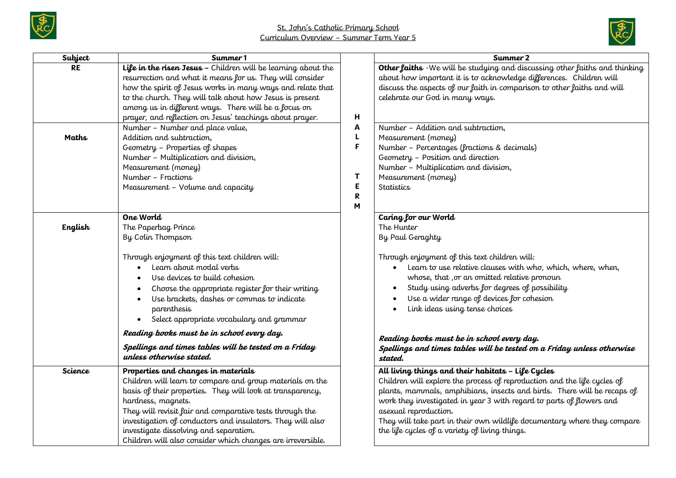



| Subject        | Summer 1                                                                                                                                                                                                                                                                                                                                                                                                                |                                 | Summer 2                                                                                                                                                                                                                                                                                                                                                                                                                                 |
|----------------|-------------------------------------------------------------------------------------------------------------------------------------------------------------------------------------------------------------------------------------------------------------------------------------------------------------------------------------------------------------------------------------------------------------------------|---------------------------------|------------------------------------------------------------------------------------------------------------------------------------------------------------------------------------------------------------------------------------------------------------------------------------------------------------------------------------------------------------------------------------------------------------------------------------------|
| <b>RE</b>      | Life in the risen Jesus - Children will be learning about the<br>resurrection and what it means for us. They will consider<br>how the spirit of Jesus works in many ways and relate that<br>to the church. They will talk about how Jesus is present<br>among us in different ways. There will be a focus on<br>prayer, and reflection on Jesus' teachings about prayer.                                                | н                               | Other faiths - We will be studying and discussing other faiths and thinking<br>about how important it is to acknowledge differences. Children will<br>discuss the aspects of our faith in comparison to other faiths and will<br>celebrate our God in many ways.                                                                                                                                                                         |
| Maths          | Number - Number and place value,<br>Addition and subtraction,<br>Geometry - Properties of shapes<br>Number - Multiplication and division,<br>Measurement (money)<br>Number - Fractions<br>Measurement - Volume and capacity                                                                                                                                                                                             | Α<br>L<br>F<br>Т<br>E<br>R<br>M | Number - Addition and subtraction,<br>Measurement (money)<br>Number - Percentages (fractions & decimals)<br>Geometry - Position and direction<br>Number - Multiplication and division,<br>Measurement (money)<br><b>Statistics</b>                                                                                                                                                                                                       |
| English        | One World<br>The Paperbag Prince<br>By Colin Thompson                                                                                                                                                                                                                                                                                                                                                                   |                                 | Caring for our World<br>The Hunter<br>By Paul Geraghty                                                                                                                                                                                                                                                                                                                                                                                   |
|                | Through enjoyment of this text children will:<br>Learn about modal verbs<br>Use devices to build cohesion<br>Choose the appropriate register for their writing<br>Use brackets, dashes or commas to indicate<br>parenthesis<br>Select appropriate vocabulary and grammar<br>$\bullet$                                                                                                                                   |                                 | Through enjoyment of this text children will:<br>Learn to use relative clauses with who, which, where, when,<br>whose, that , or an omitted relative pronoun<br>Study using adverbs for degrees of possibility<br>Use a wider range of devices for cohesion<br>Link ideas using tense choices                                                                                                                                            |
|                | Reading books must be in school every day.<br>Spellings and times tables will be tested on a Friday<br>unless otherwise stated.                                                                                                                                                                                                                                                                                         |                                 | Reading books must be in school every day.<br>Spellings and times tables will be tested on a Friday unless otherwise<br>stated.                                                                                                                                                                                                                                                                                                          |
| <b>Science</b> | Properties and changes in materials<br>Children will learn to compare and group materials on the<br>basis of their properties. They will look at transparency,<br>hardness, magnets.<br>They will revisit fair and comparative tests through the<br>investigation of conductors and insulators. They will also<br>investigate dissolving and separation.<br>Children will also consider which changes are irreversible. |                                 | All living things and their habitats - Life Cycles<br>Children will explore the process of reproduction and the life cycles of<br>plants, mammals, amphibians, insects and birds. There will be recaps of<br>work they investigated in year 3 with regard to parts of flowers and<br>asexual reproduction.<br>They will take part in their own wildlife documentary where they compare<br>the life cycles of a variety of living things. |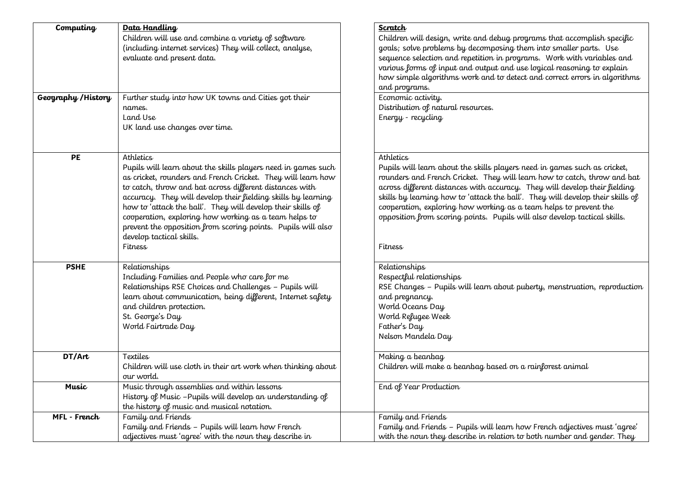| Computing           | Data Handling                                                 | Scratch                                                                        |
|---------------------|---------------------------------------------------------------|--------------------------------------------------------------------------------|
|                     | Children will use and combine a variety of software           | Children will design, write and debug programs that accomplish specific        |
|                     | (including internet services) They will collect, analyse,     | goals; solve problems by decomposing them into smaller parts. Use              |
|                     | evaluate and present data.                                    | sequence selection and repetition in programs. Work with variables and         |
|                     |                                                               | various forms of input and output and use logical reasoning to explain         |
|                     |                                                               | how simple algorithms work and to detect and correct errors in algorithms      |
|                     |                                                               | and programs.                                                                  |
| Geography / History | Further study into how UK towns and Cities got their          | Economic activity.                                                             |
|                     | names.                                                        | Distribution of natural resources.                                             |
|                     | Land Use                                                      | Energy - recycling                                                             |
|                     | UK land use changes over time.                                |                                                                                |
|                     |                                                               |                                                                                |
| PE                  | Athletics                                                     | Athletics                                                                      |
|                     | Pupils will learn about the skills players need in games such | Pupils will learn about the skills players need in games such as cricket,      |
|                     | as cricket, rounders and French Cricket. They will learn how  | rounders and French Cricket. They will learn how to catch, throw and bat       |
|                     | to catch, throw and bat across different distances with       | across different distances with accuracy. They will develop their fielding     |
|                     | accuracy. They will develop their fielding skills by learning | skills by learning how to 'attack the ball'. They will develop their skills of |
|                     | how to 'attack the ball'. They will develop their skills of   | cooperation, exploring how working as a team helps to prevent the              |
|                     | cooperation, exploring how working as a team helps to         | opposition from scoring points. Pupils will also develop tactical skills.      |
|                     | prevent the opposition from scoring points. Pupils will also  |                                                                                |
|                     | develop tactical skills.                                      |                                                                                |
|                     | <b>Fitness</b>                                                | Fitness                                                                        |
| <b>PSHE</b>         | Relationships                                                 | Relationships                                                                  |
|                     | Including Families and People who care for me                 | Respectful relationships                                                       |
|                     | Relationships RSE Choices and Challenges - Pupils will        | RSE Changes - Pupils will learn about puberty, menstruation, reproduction      |
|                     | learn about communication, being different, Internet safety   | and pregnancy.                                                                 |
|                     | and children protection.                                      | World Oceans Day                                                               |
|                     | St. George's Day                                              | World Refugee Week                                                             |
|                     | World Fairtrade Day                                           | Father's Day                                                                   |
|                     |                                                               | Nelson Mandela Day                                                             |
| DT/Art              | Textiles                                                      | Making a beanbag                                                               |
|                     | Children will use cloth in their art work when thinking about | Children will make a beanbag based on a rainforest animal                      |
|                     | our world.                                                    |                                                                                |
| Music               | Music through assemblies and within lessons                   | End of Year Production                                                         |
|                     | History of Music - Pupils will develop an understanding of    |                                                                                |
|                     | the history of music and musical notation.                    |                                                                                |
| MFL - French        | Family and Friends                                            | Family and Friends                                                             |
|                     | Family and Friends - Pupils will learn how French             | Family and Friends - Pupils will learn how French adjectives must 'agree'      |
|                     | adjectives must 'agree' with the noun they describe in        | with the noun they describe in relation to both number and gender. They        |